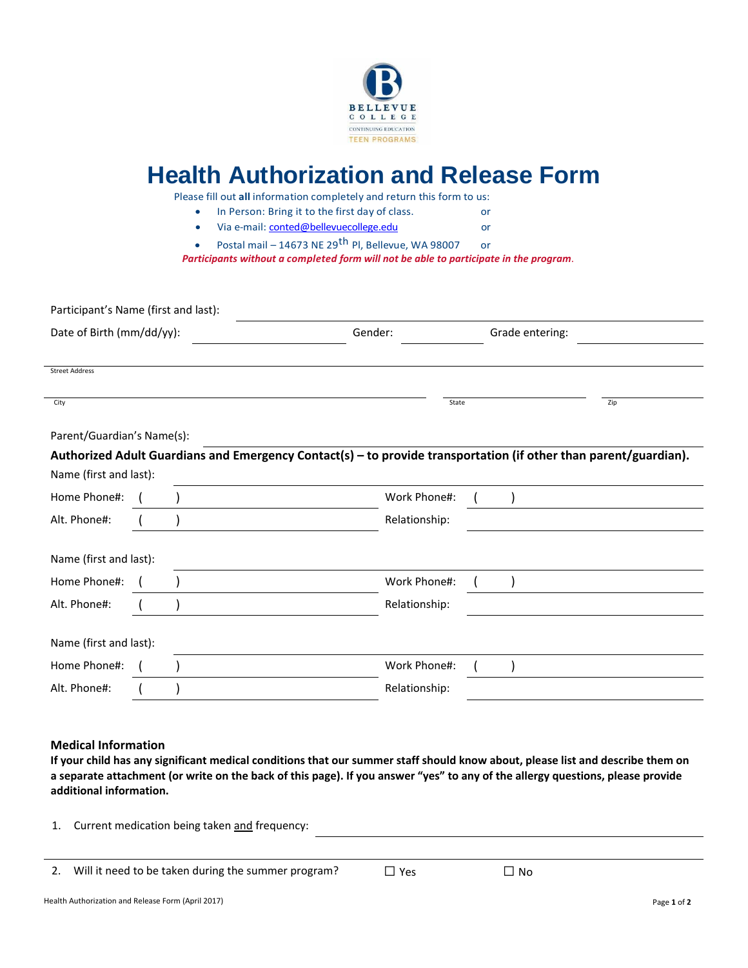

# **Health Authorization and Release Form**

Please fill out **all** information completely and return this form to us:

- In Person: Bring it to the first day of class. or
- Via e-mail: conted@bellevuecollege.edu or

Postal mail – 14673 NE 29<sup>th</sup> Pl, Bellevue, WA 98007 or

*Participants without a completed form will not be able to participate in the program*.

| Participant's Name (first and last): |  |  |                                                                                                                  |  |                 |     |
|--------------------------------------|--|--|------------------------------------------------------------------------------------------------------------------|--|-----------------|-----|
| Date of Birth (mm/dd/yy):            |  |  | Gender:                                                                                                          |  | Grade entering: |     |
| <b>Street Address</b>                |  |  |                                                                                                                  |  |                 |     |
| City                                 |  |  | State                                                                                                            |  |                 | Zip |
| Parent/Guardian's Name(s):           |  |  |                                                                                                                  |  |                 |     |
|                                      |  |  | Authorized Adult Guardians and Emergency Contact(s) - to provide transportation (if other than parent/guardian). |  |                 |     |
| Name (first and last):               |  |  |                                                                                                                  |  |                 |     |
| Home Phone#:                         |  |  | Work Phone#:                                                                                                     |  |                 |     |
| Alt. Phone#:                         |  |  | Relationship:                                                                                                    |  |                 |     |
| Name (first and last):               |  |  |                                                                                                                  |  |                 |     |
| Home Phone#:                         |  |  | Work Phone#:                                                                                                     |  |                 |     |
| Alt. Phone#:                         |  |  | Relationship:                                                                                                    |  |                 |     |
| Name (first and last):               |  |  |                                                                                                                  |  |                 |     |
| Home Phone#:                         |  |  | Work Phone#:                                                                                                     |  |                 |     |
| Alt. Phone#:                         |  |  | Relationship:                                                                                                    |  |                 |     |

### **Medical Information**

If your child has any significant medical conditions that our summer staff should know about, please list and describe them on a separate attachment (or write on the back of this page). If you answer "yes" to any of the allergy questions, please provide **additional information.**

1. Current medication being taken and frequency:

| 2. Will it need to be taken during the summer program? | $\Box$ Yes | $\Box$ No |
|--------------------------------------------------------|------------|-----------|
|                                                        |            |           |